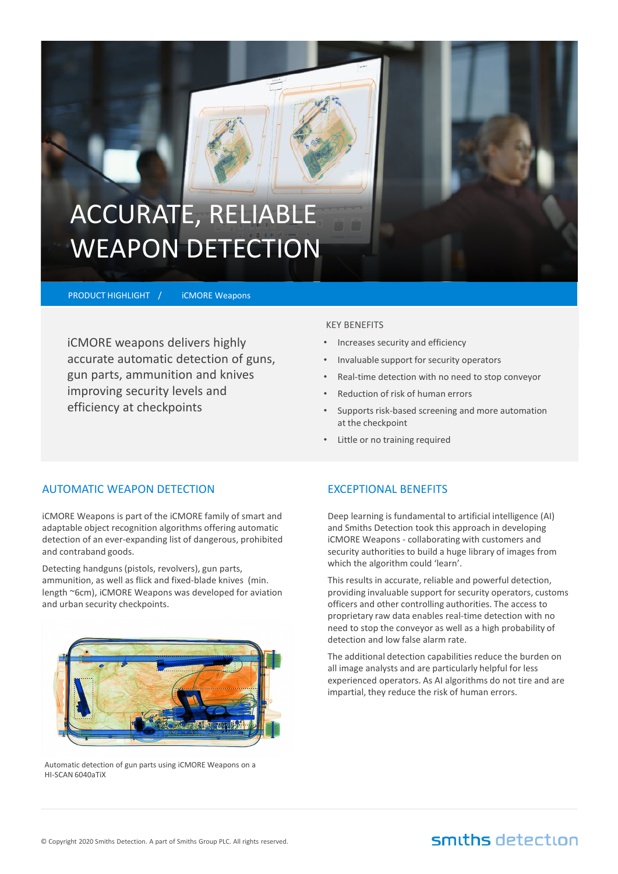# ACCURATE, RELIABLE WEAPON DETECTION

PRODUCT HIGHLIGHT /

iCMORE Weapons

iCMORE weapons delivers highly accurate automatic detection of guns, gun parts, ammunition and knives improving security levels and efficiency at checkpoints

### KEY BENEFITS

- Increases security and efficiency
- Invaluable support for security operators
- Real-time detection with no need to stop conveyor
- Reduction of risk of human errors
- Supports risk-based screening and more automation at the checkpoint
- Little or no training required

### AUTOMATIC WEAPON DETECTION

iCMORE Weapons is part of the iCMORE family of smart and adaptable object recognition algorithms offering automatic detection of an ever-expanding list of dangerous, prohibited and contraband goods.

Detecting handguns (pistols, revolvers), gun parts, ammunition, as well as flick and fixed-blade knives (min. length ~6cm), iCMORE Weapons was developed for aviation and urban security checkpoints.



Automatic detection of gun parts using iCMORE Weapons on a HI-SCAN 6040aTiX

### EXCEPTIONAL BENEFITS

Deep learning is fundamental to artificial intelligence (AI) and Smiths Detection took this approach in developing iCMORE Weapons - collaborating with customers and security authorities to build a huge library of images from which the algorithm could 'learn'.

This results in accurate, reliable and powerful detection, providing invaluable support for security operators, customs officers and other controlling authorities. The access to proprietary raw data enables real-time detection with no need to stop the conveyor as well as a high probability of detection and low false alarm rate.

The additional detection capabilities reduce the burden on all image analysts and are particularly helpful for less experienced operators. As AI algorithms do not tire and are impartial, they reduce the risk of human errors.

## smiths detection